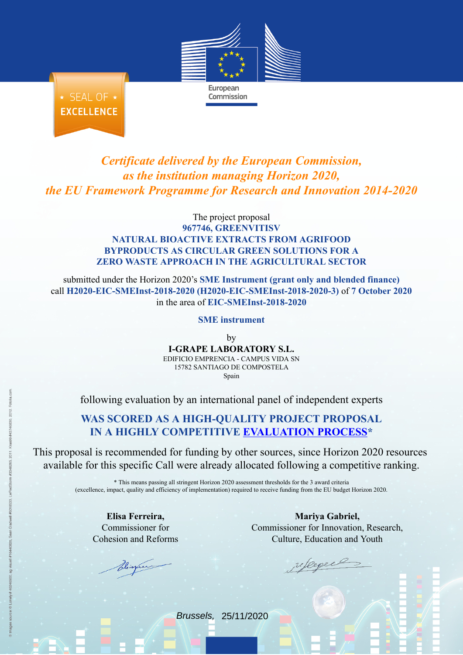

Commission

★ SEAL OF ★ **EXCELLENCE** 

*Certificate delivered by the European Commission, as the institution managing Horizon 2020, the EU Framework Programme for Research and Innovation 2014-2020*

## The project proposal **967746, GREENVITISV NATURAL BIOACTIVE EXTRACTS FROM AGRIFOOD BYPRODUCTS AS CIRCULAR GREEN SOLUTIONS FOR A ZERO WASTE APPROACH IN THE AGRICULTURAL SECTOR**

submitted under the Horizon 2020's **SME Instrument (grant only and blended finance)** call **H2020-EIC-SMEInst-2018-2020 (H2020-EIC-SMEInst-2018-2020-3)** of **7 October 2020** in the area of **EIC-SMEInst-2018-2020**

## **SME instrument**

by **I-GRAPE LABORATORY S.L.** EDIFICIO EMPRENCIA - CAMPUS VIDA SN 15782 SANTIAGO DE COMPOSTELA Spain

following evaluation by an international panel of independent experts

## **WAS SCORED AS A HIGH-QUALITY PROJECT PROPOSAL IN A HIGHLY COMPETITIVE [EVALUATION](https://ec.europa.eu/info/funding-tenders/opportunities/portal/screen/programmes/h2020) PROCESS\***

This proposal is recommended for funding by other sources, since Horizon 2020 resources available for this specific Call were already allocated following a competitive ranking.

> \* This means passing all stringent Horizon 2020 assessment thresholds for the 3 award criteria (excellence, impact, quality and efficiency of implementation) required to receive funding from the EU budget Horizon 2020.

**Elisa Ferreira,** Commissioner for Cohesion and Reforms

**Mariya Gabriel,** Commissioner for Innovation, Research, Culture, Education and Youth

Brussels, 25/11/2020